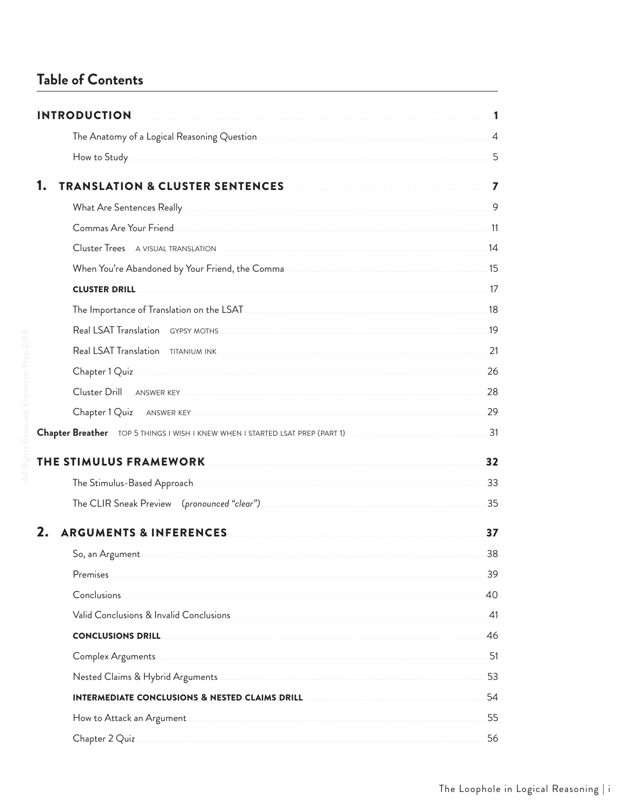## Table of Contents

|    | <b>INTRODUCTION</b>                                                                                           |       |
|----|---------------------------------------------------------------------------------------------------------------|-------|
|    |                                                                                                               |       |
|    |                                                                                                               |       |
| 1. |                                                                                                               |       |
|    |                                                                                                               |       |
|    |                                                                                                               |       |
|    |                                                                                                               |       |
|    | When You're Abandoned by Your Friend, the Comma Marian Manuscritt Abandonia 15                                |       |
|    | <b>CLUSTER DRILL</b>                                                                                          |       |
|    | The Importance of Translation on the LSAT Material Communities and the USAT Material Communities and the USAT |       |
|    |                                                                                                               |       |
|    |                                                                                                               |       |
|    |                                                                                                               | 26    |
|    |                                                                                                               | 28    |
|    |                                                                                                               |       |
|    |                                                                                                               | 31    |
|    | THE STIMULUS FRAMEWORK NAMEL AND RESIDENCE AND THE STIMULUS FRAMEWORK                                         | 32    |
|    |                                                                                                               |       |
|    |                                                                                                               | 35    |
| 2. | <b>ARGUMENTS &amp; INFERENCES</b>                                                                             | 37    |
|    |                                                                                                               | 38    |
|    | Premises                                                                                                      | 39    |
|    | Conclusions.                                                                                                  | 40    |
|    |                                                                                                               | $-41$ |
|    | <b>CONCLUSIONS DRILL</b>                                                                                      | 46    |
|    | Complex Arguments 31                                                                                          |       |
|    |                                                                                                               | 53    |
|    |                                                                                                               | 54    |
|    |                                                                                                               | 55    |
|    |                                                                                                               | 56    |
|    |                                                                                                               |       |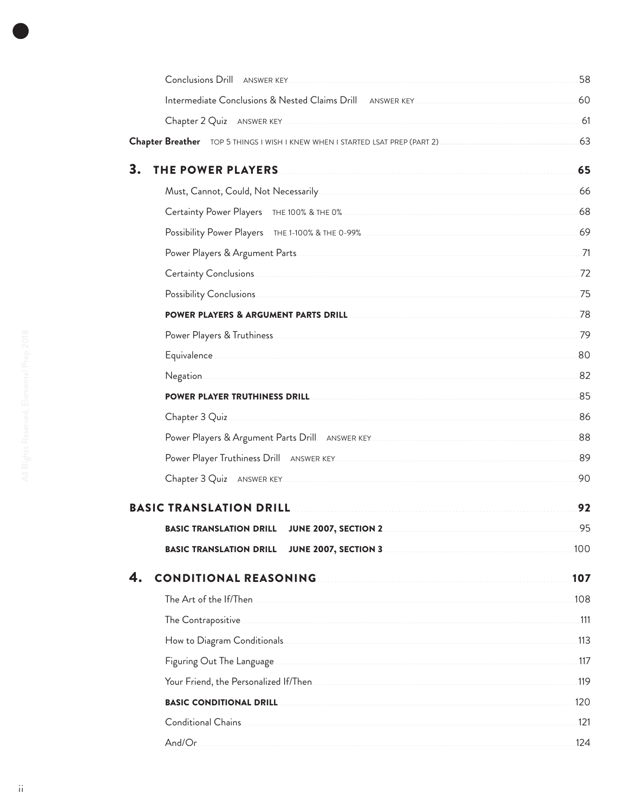|                                                                                                                                                                                                                                                                        | 58   |
|------------------------------------------------------------------------------------------------------------------------------------------------------------------------------------------------------------------------------------------------------------------------|------|
|                                                                                                                                                                                                                                                                        |      |
|                                                                                                                                                                                                                                                                        |      |
|                                                                                                                                                                                                                                                                        |      |
| 3.<br>THE POWER PLAYERS <b>THE POWER PLAYERS</b>                                                                                                                                                                                                                       | 65   |
|                                                                                                                                                                                                                                                                        |      |
| Certainty Power Players THE 100% & THE 0% <b>CONSCRIPTION ASSESS</b>                                                                                                                                                                                                   |      |
|                                                                                                                                                                                                                                                                        |      |
|                                                                                                                                                                                                                                                                        |      |
| Certainty Conclusions 22                                                                                                                                                                                                                                               |      |
|                                                                                                                                                                                                                                                                        |      |
|                                                                                                                                                                                                                                                                        |      |
|                                                                                                                                                                                                                                                                        |      |
|                                                                                                                                                                                                                                                                        |      |
|                                                                                                                                                                                                                                                                        |      |
| POWER PLAYER TRUTHINESS DRILL DELAND AND AN ANNO 1995 (1995) AND THE RESERVE PLAYER TRUTHINESS DRILL DELAND AN                                                                                                                                                         |      |
| Chapter 3 Quiz 86                                                                                                                                                                                                                                                      |      |
|                                                                                                                                                                                                                                                                        |      |
| Power Player Truthiness Drill ANSWER KEY                                                                                                                                                                                                                               |      |
|                                                                                                                                                                                                                                                                        | 90   |
| BASIC TRANSLATION DRILL DESCRIPTION OF REAL PROPERTY AND THE REAL PROPERTY OF REAL PROPERTY.                                                                                                                                                                           | 92   |
| <b>BASIC TRANSLATION DRILL JUNE 2007, SECTION 2</b>                                                                                                                                                                                                                    | 95   |
| <b>JUNE 2007, SECTION 3. 2008 100 2009 100 2009 100 2009 100 2009 100 2009 100 2009 100 2009 100 2009 100 2009 100 2009 100 2009 100 2009 100 2009 100 2009 100 2009 100 2009 100 2009 100 2009 100 2009 100 2009 100 2009 100 2</b><br><b>BASIC TRANSLATION DRILL</b> | .100 |
| <b>CONDITIONAL REASONING MARKET AND REASONING MARKET AND REASONING MARKET AND REASONING MARKET AND REASON REASON</b>                                                                                                                                                   | 107  |
|                                                                                                                                                                                                                                                                        | 108  |
|                                                                                                                                                                                                                                                                        |      |
|                                                                                                                                                                                                                                                                        |      |
|                                                                                                                                                                                                                                                                        |      |
|                                                                                                                                                                                                                                                                        |      |
|                                                                                                                                                                                                                                                                        |      |
|                                                                                                                                                                                                                                                                        |      |
|                                                                                                                                                                                                                                                                        | 124  |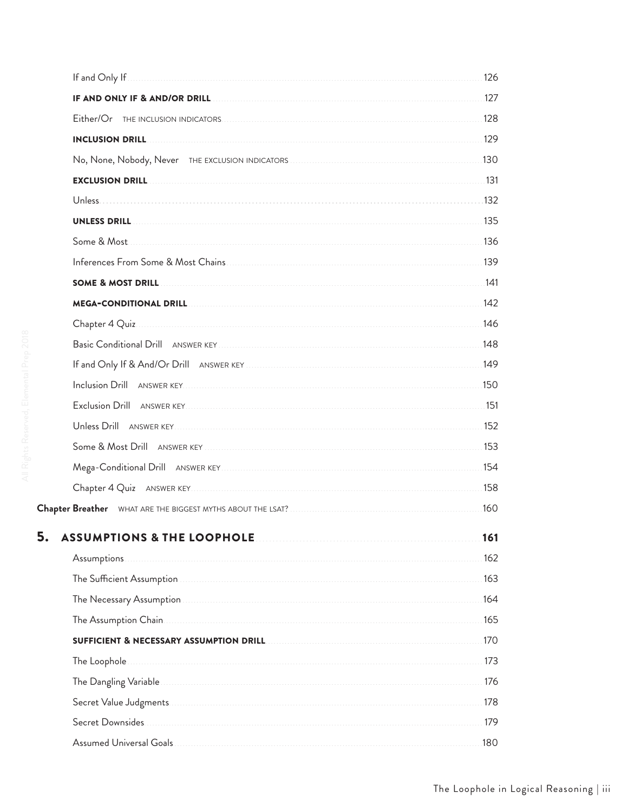|                   | <b>IF AND ONLY IF &amp; AND/OR DRILL</b> [177] <b>IF AND ONLY IF &amp; AND/OR DRILL</b>  |      |
|-------------------|------------------------------------------------------------------------------------------|------|
|                   |                                                                                          |      |
|                   | <b>INCLUSION DRILL</b> 229                                                               |      |
|                   | No, None, Nobody, Never THE EXCLUSION INDICATORS MARKET AND RESERVE THE MODEL TO A 130   |      |
|                   |                                                                                          |      |
|                   |                                                                                          |      |
|                   |                                                                                          |      |
| Some & Most.      |                                                                                          |      |
|                   |                                                                                          |      |
|                   |                                                                                          |      |
|                   |                                                                                          |      |
|                   | Chapter 4 Quiz 146                                                                       |      |
|                   |                                                                                          |      |
|                   |                                                                                          |      |
|                   |                                                                                          |      |
|                   |                                                                                          |      |
|                   |                                                                                          |      |
|                   |                                                                                          |      |
|                   | Mega-Conditional Drill ANSWER KEY MARIE AND THE METAL ASSEMBLY AND MELTICAL METAL 154    |      |
|                   |                                                                                          | .158 |
|                   |                                                                                          |      |
| 5.                | <b>ASSUMPTIONS &amp; THE LOOPHOLE</b>                                                    | 161  |
| Assumptions       |                                                                                          | 162  |
|                   |                                                                                          | 163  |
|                   |                                                                                          | 164  |
|                   |                                                                                          | 165  |
|                   | SUFFICIENT & NECESSARY ASSUMPTION DRILL <b>CONTRACT AND THE REAL PROPERTY ASSUMPTION</b> | 170  |
|                   |                                                                                          | 173  |
|                   |                                                                                          | 176  |
|                   |                                                                                          | 178  |
| Secret Downsides. |                                                                                          |      |
|                   |                                                                                          | .180 |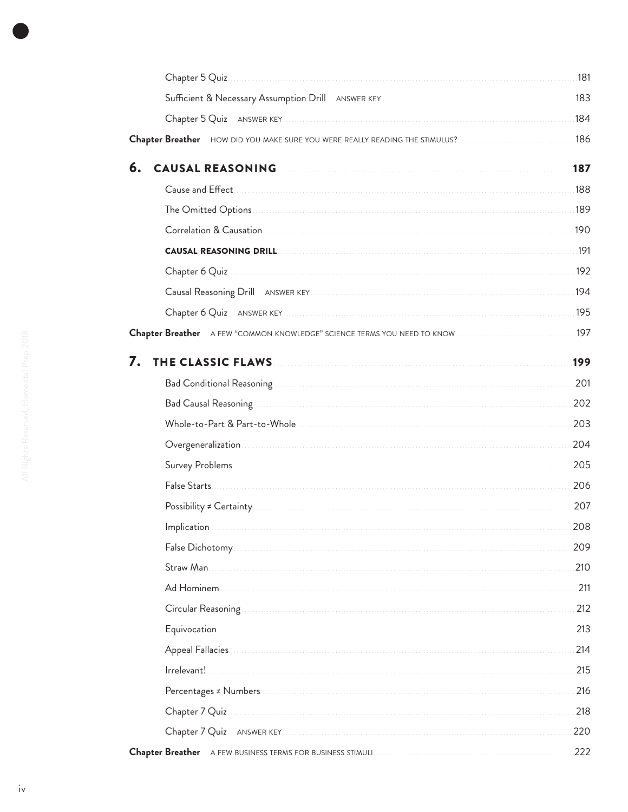|                                                                                                                                                                                                                                          | .183 |
|------------------------------------------------------------------------------------------------------------------------------------------------------------------------------------------------------------------------------------------|------|
|                                                                                                                                                                                                                                          | .184 |
|                                                                                                                                                                                                                                          |      |
| 6.<br><b>CAUSAL REASONING</b>                                                                                                                                                                                                            | 187  |
|                                                                                                                                                                                                                                          | .188 |
| The Omitted Options 189                                                                                                                                                                                                                  |      |
|                                                                                                                                                                                                                                          | .190 |
|                                                                                                                                                                                                                                          |      |
| Chapter 6 Quiz 192                                                                                                                                                                                                                       |      |
|                                                                                                                                                                                                                                          | .194 |
|                                                                                                                                                                                                                                          | .195 |
|                                                                                                                                                                                                                                          |      |
| 7.<br>THE CLASSIC FLAWS <b>Example 20</b> Section 20 April 20 April 20 April 20 April 20 April 20 April 20 April 20 April 20 April 20 April 20 April 20 April 20 April 20 April 20 April 20 April 20 April 20 April 20 April 20 April 20 | 199  |
|                                                                                                                                                                                                                                          | 201  |
| Bad Causal Reasoning <b>Executive Construction Construction</b> Cause of Table 2014 and Causal Reasoning                                                                                                                                 | 202  |
|                                                                                                                                                                                                                                          | 203  |
|                                                                                                                                                                                                                                          | 204  |
|                                                                                                                                                                                                                                          | 205  |
|                                                                                                                                                                                                                                          | 206  |
|                                                                                                                                                                                                                                          | 207  |
| Implication                                                                                                                                                                                                                              | 208  |
|                                                                                                                                                                                                                                          | 209  |
| Straw Man                                                                                                                                                                                                                                | 210  |
|                                                                                                                                                                                                                                          | 211  |
|                                                                                                                                                                                                                                          | 212  |
|                                                                                                                                                                                                                                          | 213  |
|                                                                                                                                                                                                                                          | 214  |
| Irrelevant!                                                                                                                                                                                                                              | 215  |
|                                                                                                                                                                                                                                          | 216  |
|                                                                                                                                                                                                                                          | 218  |
| Chapter 7 Quiz ANSWER KEY                                                                                                                                                                                                                | 220  |
|                                                                                                                                                                                                                                          | 222  |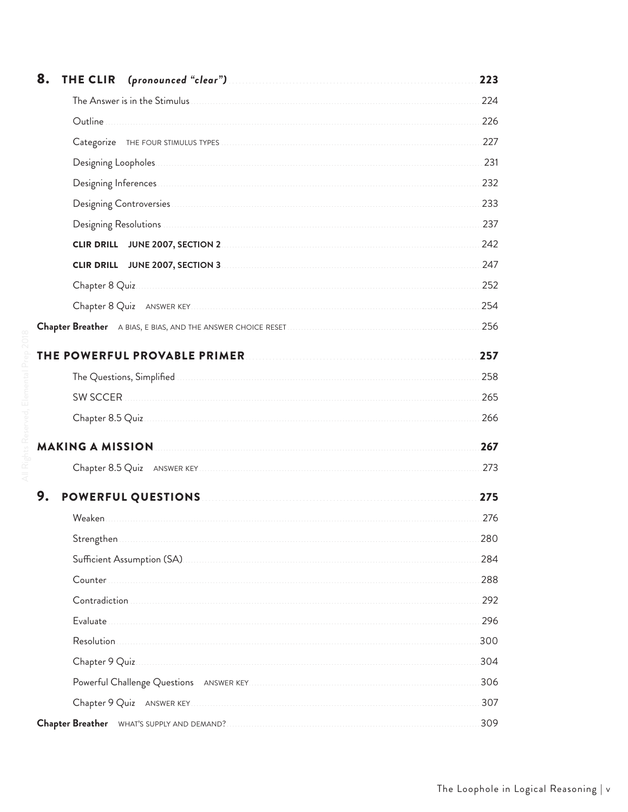| 8. | THE CLIR (pronounced "clear") [1999] [1999] [1999] [1999] [1999] [1999] [1999] [1999] [1999] [1999] [1999] [1999] [1999] [1999] [1999] [1999] [1999] [1999] [1999] [1999] [1999] [1999] [1999] [1999] [1999] [1999] [1999] [19 | 223 |
|----|--------------------------------------------------------------------------------------------------------------------------------------------------------------------------------------------------------------------------------|-----|
|    | The Answer is in the Stimulus <b>Constitution of the Stimulus</b> of the Answer is in the Stimulus <b>Constitution</b>                                                                                                         | 224 |
|    |                                                                                                                                                                                                                                | 226 |
|    |                                                                                                                                                                                                                                | 227 |
|    | Designing Loopholes                                                                                                                                                                                                            | 231 |
|    |                                                                                                                                                                                                                                | 232 |
|    |                                                                                                                                                                                                                                | 233 |
|    |                                                                                                                                                                                                                                | 237 |
|    |                                                                                                                                                                                                                                | 242 |
|    |                                                                                                                                                                                                                                | 247 |
|    |                                                                                                                                                                                                                                | 252 |
|    |                                                                                                                                                                                                                                | 254 |
|    |                                                                                                                                                                                                                                | 256 |
|    |                                                                                                                                                                                                                                | 257 |
|    |                                                                                                                                                                                                                                | 258 |
|    |                                                                                                                                                                                                                                | 265 |
|    |                                                                                                                                                                                                                                | 266 |
|    |                                                                                                                                                                                                                                | 267 |
|    |                                                                                                                                                                                                                                | 273 |
| 9. | POWERFUL QUESTIONS <b>Example 20 YO MERFUL QUESTIONS</b>                                                                                                                                                                       | 275 |
|    | Weaken.                                                                                                                                                                                                                        | 276 |
|    |                                                                                                                                                                                                                                | 280 |
|    |                                                                                                                                                                                                                                | 284 |
|    | Counter                                                                                                                                                                                                                        | 288 |
|    |                                                                                                                                                                                                                                | 292 |
|    | Evaluate                                                                                                                                                                                                                       | 296 |
|    | Resolution                                                                                                                                                                                                                     | 300 |
|    |                                                                                                                                                                                                                                | 304 |
|    |                                                                                                                                                                                                                                | 306 |
|    |                                                                                                                                                                                                                                | 307 |
|    |                                                                                                                                                                                                                                | 309 |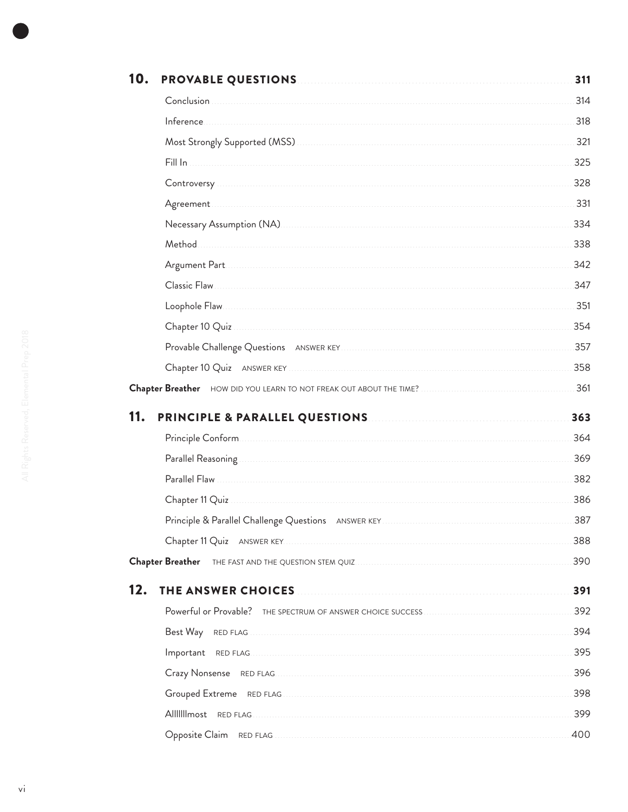| 10. | <b>PROVABLE QUESTIONS MANUAL CONTRACT DESCRIPTIONS</b>                                    | 311 |
|-----|-------------------------------------------------------------------------------------------|-----|
|     |                                                                                           | 314 |
|     |                                                                                           | 318 |
|     |                                                                                           | 321 |
|     |                                                                                           | 325 |
|     |                                                                                           | 328 |
|     |                                                                                           | 331 |
|     |                                                                                           | 334 |
|     |                                                                                           | 338 |
|     |                                                                                           | 342 |
|     | Classic Flaw                                                                              | 347 |
|     |                                                                                           | 351 |
|     |                                                                                           | 354 |
|     |                                                                                           | 357 |
|     |                                                                                           | 358 |
|     |                                                                                           | 361 |
| 11. |                                                                                           |     |
|     | <b>PRINCIPLE &amp; PARALLEL QUESTIONS Example 20 YO FINCIPLE &amp; PARALLEL QUESTIONS</b> | 363 |
|     |                                                                                           | 364 |
|     |                                                                                           | 369 |
|     |                                                                                           | 382 |
|     |                                                                                           | 386 |
|     |                                                                                           | 387 |
|     |                                                                                           | 388 |
|     | Chapter Breather THE FAST AND THE QUESTION STEM QUIZ <b>CONSERVERSE SERVERSE BREA</b>     | 390 |
| 12. | THE ANSWER CHOICES                                                                        | 391 |
|     |                                                                                           | 392 |
|     | Best Way                                                                                  | 394 |
|     |                                                                                           | 395 |
|     |                                                                                           | 396 |
|     |                                                                                           | 398 |
|     |                                                                                           | 399 |
|     |                                                                                           | 400 |